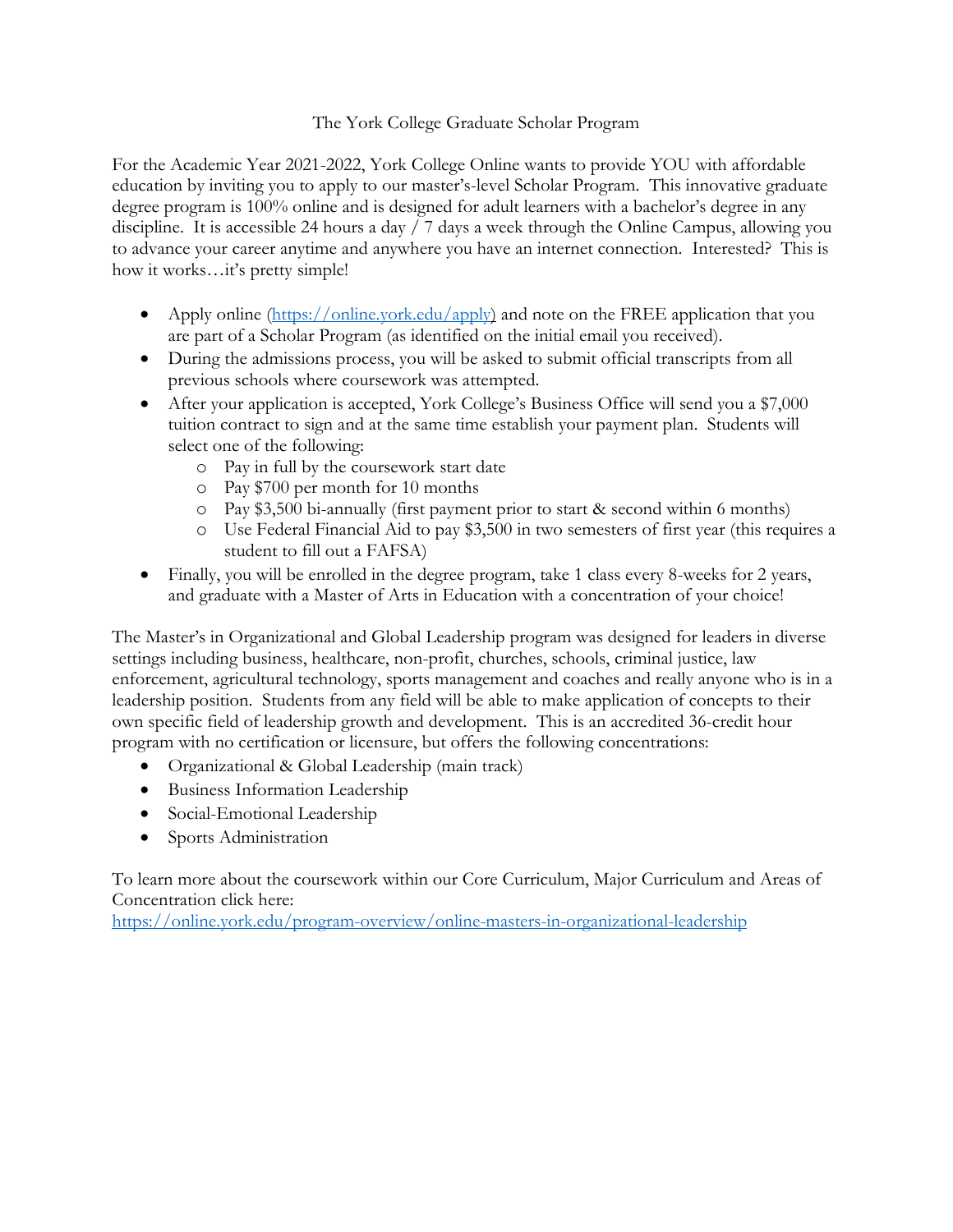## The York College Graduate Scholar Program

For the Academic Year 2021-2022, York College Online wants to provide YOU with affordable education by inviting you to apply to our master's-level Scholar Program. This innovative graduate degree program is 100% online and is designed for adult learners with a bachelor's degree in any discipline. It is accessible 24 hours a day / 7 days a week through the Online Campus, allowing you to advance your career anytime and anywhere you have an internet connection. Interested? This is how it works…it's pretty simple!

- Apply online [\(https://online.york.edu/apply\)](https://online.york.edu/apply) and note on the FREE application that you are part of a Scholar Program (as identified on the initial email you received).
- During the admissions process, you will be asked to submit official transcripts from all previous schools where coursework was attempted.
- After your application is accepted, York College's Business Office will send you a \$7,000 tuition contract to sign and at the same time establish your payment plan. Students will select one of the following:
	- o Pay in full by the coursework start date
	- o Pay \$700 per month for 10 months
	- o Pay \$3,500 bi-annually (first payment prior to start & second within 6 months)
	- o Use Federal Financial Aid to pay \$3,500 in two semesters of first year (this requires a student to fill out a FAFSA)
- Finally, you will be enrolled in the degree program, take 1 class every 8-weeks for 2 years, and graduate with a Master of Arts in Education with a concentration of your choice!

The Master's in Organizational and Global Leadership program was designed for leaders in diverse settings including business, healthcare, non-profit, churches, schools, criminal justice, law enforcement, agricultural technology, sports management and coaches and really anyone who is in a leadership position. Students from any field will be able to make application of concepts to their own specific field of leadership growth and development. This is an accredited 36-credit hour program with no certification or licensure, but offers the following concentrations:

- Organizational & Global Leadership (main track)
- Business Information Leadership
- Social-Emotional Leadership
- Sports Administration

To learn more about the coursework within our Core Curriculum, Major Curriculum and Areas of Concentration click here:

<https://online.york.edu/program-overview/online-masters-in-organizational-leadership>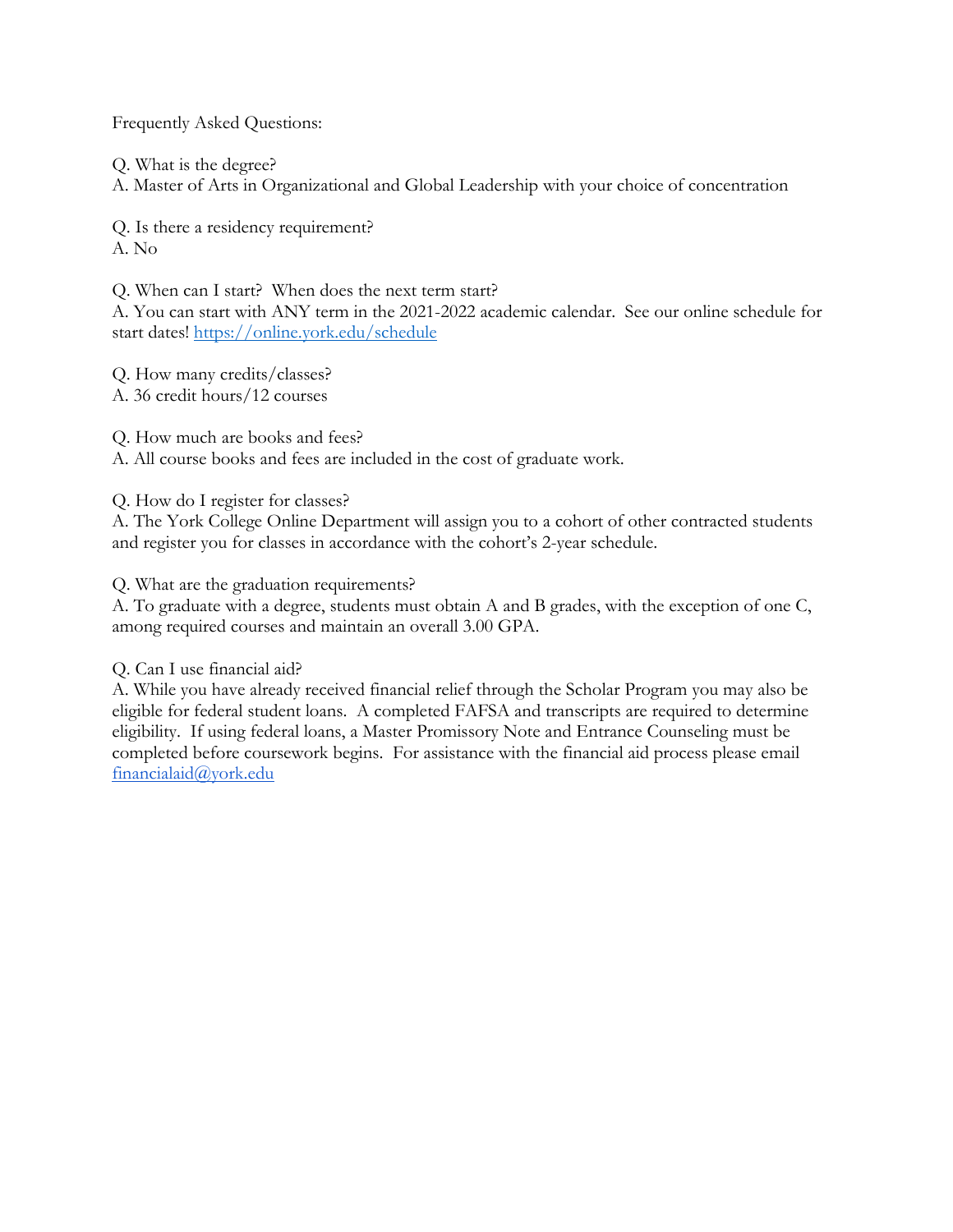Frequently Asked Questions:

Q. What is the degree?

A. Master of Arts in Organizational and Global Leadership with your choice of concentration

Q. Is there a residency requirement? A. No

Q. When can I start? When does the next term start?

A. You can start with ANY term in the 2021-2022 academic calendar. See our online schedule for start dates!<https://online.york.edu/schedule>

Q. How many credits/classes? A. 36 credit hours/12 courses

Q. How much are books and fees?

A. All course books and fees are included in the cost of graduate work.

Q. How do I register for classes?

A. The York College Online Department will assign you to a cohort of other contracted students and register you for classes in accordance with the cohort's 2-year schedule.

Q. What are the graduation requirements?

A. To graduate with a degree, students must obtain A and B grades, with the exception of one C, among required courses and maintain an overall 3.00 GPA.

Q. Can I use financial aid?

A. While you have already received financial relief through the Scholar Program you may also be eligible for federal student loans. A completed FAFSA and transcripts are required to determine eligibility. If using federal loans, a Master Promissory Note and Entrance Counseling must be completed before coursework begins. For assistance with the financial aid process please email [financialaid@york.edu](mailto:financialaid@york.edu)